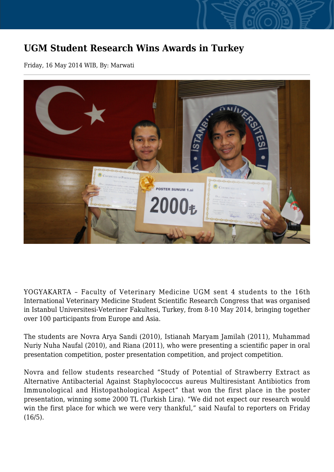## **UGM Student Research Wins Awards in Turkey**

Friday, 16 May 2014 WIB, By: Marwati



YOGYAKARTA – Faculty of Veterinary Medicine UGM sent 4 students to the 16th International Veterinary Medicine Student Scientific Research Congress that was organised in Istanbul Universitesi-Veteriner Fakultesi, Turkey, from 8-10 May 2014, bringing together over 100 participants from Europe and Asia.

The students are Novra Arya Sandi (2010), Istianah Maryam Jamilah (2011), Muhammad Nuriy Nuha Naufal (2010), and Riana (2011), who were presenting a scientific paper in oral presentation competition, poster presentation competition, and project competition.

Novra and fellow students researched "Study of Potential of Strawberry Extract as Alternative Antibacterial Against Staphylococcus aureus Multiresistant Antibiotics from Immunological and Histopathological Aspect" that won the first place in the poster presentation, winning some 2000 TL (Turkish Lira). "We did not expect our research would win the first place for which we were very thankful," said Naufal to reporters on Friday (16/5).